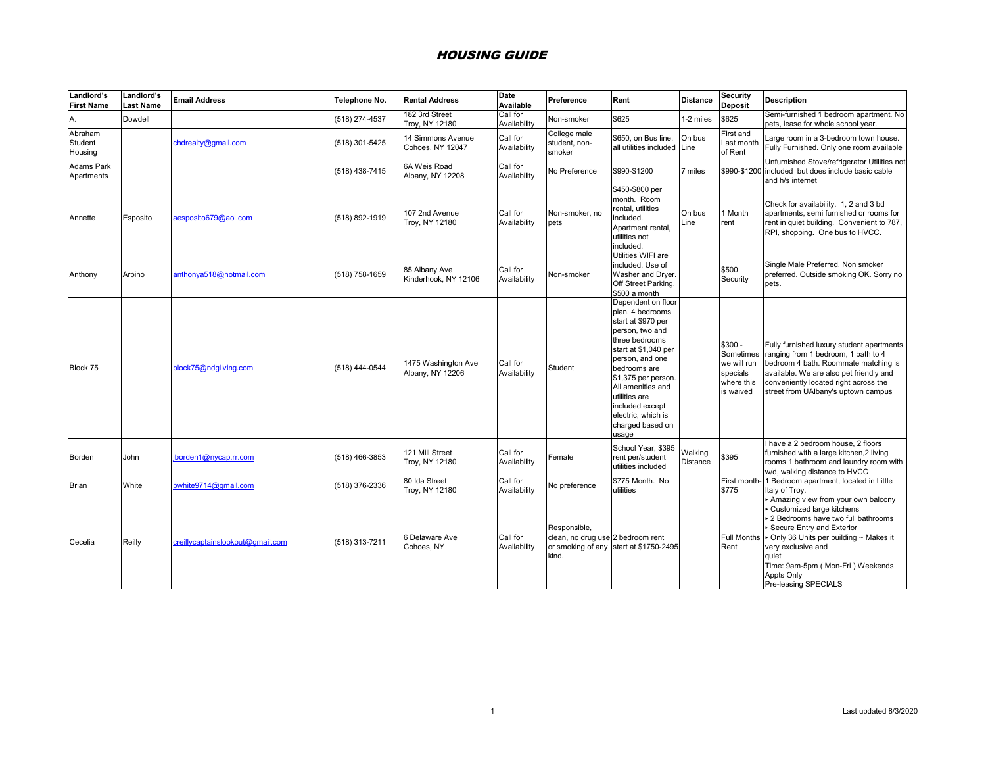| Landlord's<br><b>First Name</b> | Landlord's<br><b>Last Name</b> | <b>Email Address</b>             | Telephone No.  | <b>Rental Address</b>                   | Date<br>Available        | Preference                                                 | Rent                                                                                                                                                                                                                                                                                            | <b>Distance</b>     | <b>Security</b><br><b>Deposit</b>                                           | <b>Description</b>                                                                                                                                                                                                                                                                   |
|---------------------------------|--------------------------------|----------------------------------|----------------|-----------------------------------------|--------------------------|------------------------------------------------------------|-------------------------------------------------------------------------------------------------------------------------------------------------------------------------------------------------------------------------------------------------------------------------------------------------|---------------------|-----------------------------------------------------------------------------|--------------------------------------------------------------------------------------------------------------------------------------------------------------------------------------------------------------------------------------------------------------------------------------|
| А.                              | Dowdell                        |                                  | 518) 274-4537  | 182 3rd Street<br>Troy, NY 12180        | Call for<br>Availability | Non-smoker                                                 | \$625                                                                                                                                                                                                                                                                                           | 1-2 miles           | \$625                                                                       | Semi-furnished 1 bedroom apartment. No<br>pets, lease for whole school year.                                                                                                                                                                                                         |
| Abraham<br>Student<br>Housing   |                                | chdrealty@gmail.com              | (518) 301-5425 | 14 Simmons Avenue<br>Cohoes, NY 12047   | Call for<br>Availability | College male<br>student, non-<br>smoker                    | \$650, on Bus line,<br>all utilities included                                                                                                                                                                                                                                                   | On bus<br>Line      | First and<br>ast mont<br>of Rent                                            | Large room in a 3-bedroom town house.<br>Fully Furnished. Only one room available                                                                                                                                                                                                    |
| Adams Park<br>Apartments        |                                |                                  | (518) 438-7415 | 6A Weis Road<br>Albany, NY 12208        | Call for<br>Availability | No Preference                                              | \$990-\$1200                                                                                                                                                                                                                                                                                    | 7 miles             |                                                                             | Unfurnished Stove/refrigerator Utilities not<br>\$990-\$1200 included but does include basic cable<br>and h/s internet                                                                                                                                                               |
| Annette                         | Esposito                       | aesposito679@aol.com             | (518) 892-1919 | 107 2nd Avenue<br>Troy, NY 12180        | Call for<br>Availability | Non-smoker, no<br>pets                                     | \$450-\$800 per<br>month. Room<br>rental, utilities<br>included.<br>Apartment rental,<br>utilities not<br>included.                                                                                                                                                                             | On bus<br>Line      | Month<br>rent                                                               | Check for availability. 1, 2 and 3 bd<br>apartments, semi furnished or rooms for<br>rent in quiet building. Convenient to 787,<br>RPI, shopping. One bus to HVCC.                                                                                                                    |
| Anthony                         | Arpino                         | anthonya518@hotmail.com          | (518) 758-1659 | 85 Albany Ave<br>Kinderhook, NY 12106   | Call for<br>Availability | Non-smoker                                                 | Utilities WIFI are<br>included. Use of<br>Washer and Dryer.<br>Off Street Parking.<br>\$500 a month                                                                                                                                                                                             |                     | \$500<br>Security                                                           | Single Male Preferred. Non smoker<br>preferred. Outside smoking OK. Sorry no<br>pets.                                                                                                                                                                                                |
| Block 75                        |                                | olock75@ndgliving.com            | (518) 444-0544 | 1475 Washington Ave<br>Albany, NY 12206 | Call for<br>Availability | Student                                                    | Dependent on floor<br>plan. 4 bedrooms<br>start at \$970 per<br>person, two and<br>three bedrooms<br>start at \$1,040 per<br>person, and one<br>bedrooms are<br>\$1,375 per person.<br>All amenities and<br>utilities are<br>included except<br>electric, which is<br>charged based on<br>usage |                     | $$300 -$<br>Sometimes<br>we will run<br>specials<br>where this<br>is waived | Fully furnished luxury student apartments<br>ranging from 1 bedroom, 1 bath to 4<br>bedroom 4 bath. Roommate matching is<br>available. We are also pet friendly and<br>conveniently located right across the<br>street from UAlbany's uptown campus                                  |
| Borden                          | John                           | borden1@nycap.rr.com             | (518) 466-3853 | 121 Mill Street<br>Troy, NY 12180       | Call for<br>Availability | Female                                                     | School Year, \$395<br>rent per/student<br>utilities included                                                                                                                                                                                                                                    | Walking<br>Distance | \$395                                                                       | have a 2 bedroom house, 2 floors<br>furnished with a large kitchen, 2 living<br>rooms 1 bathroom and laundry room with<br>w/d. walking distance to HVCC                                                                                                                              |
| Brian                           | White                          | owhite9714@gmail.com             | 518) 376-2336  | 80 Ida Street<br>Troy, NY 12180         | Call for<br>Availability | No preference                                              | \$775 Month. No<br>utilities                                                                                                                                                                                                                                                                    |                     | First month<br>\$775                                                        | 1 Bedroom apartment, located in Little<br>Italy of Trov.                                                                                                                                                                                                                             |
| Cecelia                         | Reilly                         | creillycaptainslookout@gmail.com | (518) 313-7211 | 6 Delaware Ave<br>Cohoes, NY            | Call for<br>Availability | Responsible.<br>clean, no drug use 2 bedroom rent<br>kind. | or smoking of any start at \$1750-2495                                                                                                                                                                                                                                                          |                     | Full Months<br>Rent                                                         | Amazing view from your own balcony<br>Customized large kitchens<br>2 Bedrooms have two full bathrooms<br>Secure Entry and Exterior<br>Only 36 Units per building ~ Makes it<br>very exclusive and<br>quiet<br>Time: 9am-5pm (Mon-Fri) Weekends<br>Appts Only<br>Pre-leasing SPECIALS |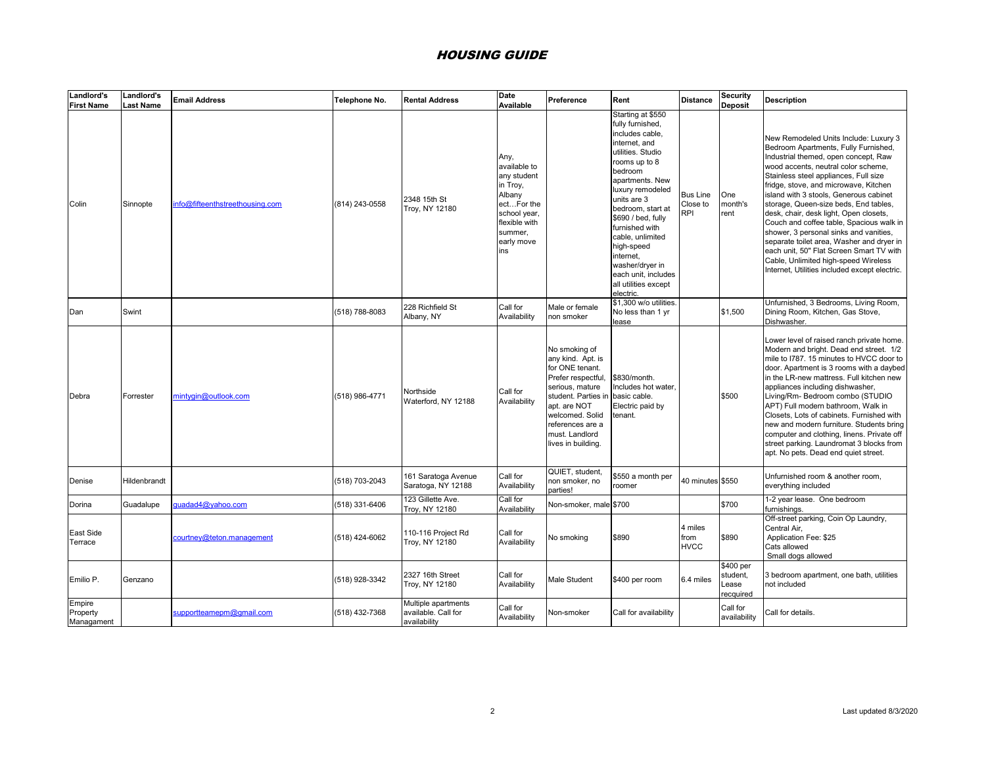| Landlord's<br><b>First Name</b>  | Landlord's<br><b>Last Name</b> | <b>Email Address</b>           | Telephone No.  | <b>Rental Address</b>                                      | Date<br>Available                                                                                                                        | Preference                                                                                                                                                                                                           | Rent                                                                                                                                                                                                                                                                                                                                                                        | <b>Distance</b>                           | Security<br>Deposit                        | <b>Description</b>                                                                                                                                                                                                                                                                                                                                                                                                                                                                                                                                                                                                                                  |
|----------------------------------|--------------------------------|--------------------------------|----------------|------------------------------------------------------------|------------------------------------------------------------------------------------------------------------------------------------------|----------------------------------------------------------------------------------------------------------------------------------------------------------------------------------------------------------------------|-----------------------------------------------------------------------------------------------------------------------------------------------------------------------------------------------------------------------------------------------------------------------------------------------------------------------------------------------------------------------------|-------------------------------------------|--------------------------------------------|-----------------------------------------------------------------------------------------------------------------------------------------------------------------------------------------------------------------------------------------------------------------------------------------------------------------------------------------------------------------------------------------------------------------------------------------------------------------------------------------------------------------------------------------------------------------------------------------------------------------------------------------------------|
| Colin                            | Sinnopte                       | nfo@fifteenthstreethousing.com | (814) 243-0558 | 2348 15th St<br>Troy, NY 12180                             | Any,<br>available to<br>any student<br>in Troy,<br>Albany<br>ectFor the<br>school year,<br>flexible with<br>summer.<br>early move<br>ins |                                                                                                                                                                                                                      | Starting at \$550<br>fully furnished,<br>includes cable.<br>internet, and<br>utilities. Studio<br>rooms up to 8<br>bedroom<br>apartments, New<br>luxury remodeled<br>units are 3<br>bedroom, start at<br>\$690 / bed, fully<br>furnished with<br>cable, unlimited<br>high-speed<br>internet,<br>washer/dryer in<br>each unit, includes<br>all utilities except<br>electric. | <b>Bus Line</b><br>Close to<br><b>RPI</b> | One<br>month's<br>rent                     | New Remodeled Units Include: Luxury 3<br>Bedroom Apartments, Fully Furnished,<br>Industrial themed, open concept, Raw<br>wood accents, neutral color scheme,<br>Stainless steel appliances, Full size<br>fridge, stove, and microwave, Kitchen<br>island with 3 stools, Generous cabinet<br>storage, Queen-size beds, End tables,<br>desk, chair, desk light, Open closets,<br>Couch and coffee table, Spacious walk in<br>shower, 3 personal sinks and vanities,<br>separate toilet area, Washer and dryer in<br>each unit, 50" Flat Screen Smart TV with<br>Cable, Unlimited high-speed Wireless<br>Internet, Utilities included except electric. |
| Dan                              | Swint                          |                                | (518) 788-8083 | 228 Richfield St<br>Albany, NY                             | Call for<br>Availability                                                                                                                 | Male or female<br>non smoker                                                                                                                                                                                         | \$1,300 w/o utilities.<br>No less than 1 yr<br>lease                                                                                                                                                                                                                                                                                                                        |                                           | \$1,500                                    | Unfurnished, 3 Bedrooms, Living Room,<br>Dining Room, Kitchen, Gas Stove,<br>Dishwasher.                                                                                                                                                                                                                                                                                                                                                                                                                                                                                                                                                            |
| Debra                            | Forrester                      | mintygin@outlook.com           | (518) 986-4771 | Northside<br>Waterford, NY 12188                           | Call for<br>Availability                                                                                                                 | No smoking of<br>any kind. Apt. is<br>for ONE tenant.<br>Prefer respectful,<br>serious, mature<br>student. Parties in<br>apt. are NOT<br>welcomed, Solid<br>references are a<br>must. Landlord<br>lives in building. | \$830/month.<br>Includes hot water,<br>basic cable.<br>Electric paid by<br>tenant.                                                                                                                                                                                                                                                                                          |                                           | \$500                                      | Lower level of raised ranch private home.<br>Modern and bright. Dead end street. 1/2<br>mile to I787. 15 minutes to HVCC door to<br>door. Apartment is 3 rooms with a daybed<br>in the LR-new mattress. Full kitchen new<br>appliances including dishwasher,<br>Living/Rm- Bedroom combo (STUDIO<br>APT) Full modern bathroom, Walk in<br>Closets, Lots of cabinets. Furnished with<br>new and modern furniture. Students bring<br>computer and clothing, linens. Private off<br>street parking. Laundromat 3 blocks from<br>apt. No pets. Dead end quiet street.                                                                                   |
| Denise                           | Hildenbrandt                   |                                | (518) 703-2043 | 161 Saratoga Avenue<br>Saratoga, NY 12188                  | Call for<br>Availability                                                                                                                 | QUIET, student,<br>non smoker, no<br>parties!                                                                                                                                                                        | \$550 a month per<br>roomer                                                                                                                                                                                                                                                                                                                                                 | 40 minutes \$550                          |                                            | Unfurnished room & another room,<br>everything included                                                                                                                                                                                                                                                                                                                                                                                                                                                                                                                                                                                             |
| Dorina                           | Guadalupe                      | quadad4@yahoo.com              | (518) 331-6406 | 123 Gillette Ave.<br>Troy, NY 12180                        | Call for<br>Availability                                                                                                                 | Non-smoker, male \$700                                                                                                                                                                                               |                                                                                                                                                                                                                                                                                                                                                                             |                                           | \$700                                      | 1-2 year lease. One bedroom<br>furnishings.                                                                                                                                                                                                                                                                                                                                                                                                                                                                                                                                                                                                         |
| East Side<br>Terrace             |                                | ourtney@teton.management       | (518) 424-6062 | 110-116 Project Rd<br>Troy, NY 12180                       | Call for<br>Availability                                                                                                                 | No smoking                                                                                                                                                                                                           | \$890                                                                                                                                                                                                                                                                                                                                                                       | 4 miles<br>from<br><b>HVCC</b>            | \$890                                      | Off-street parking, Coin Op Laundry,<br>Central Air.<br>Application Fee: \$25<br>Cats allowed<br>Small dogs allowed                                                                                                                                                                                                                                                                                                                                                                                                                                                                                                                                 |
| Emilio P.                        | Genzano                        |                                | (518) 928-3342 | 2327 16th Street<br>Troy, NY 12180                         | Call for<br>Availability                                                                                                                 | <b>Male Student</b>                                                                                                                                                                                                  | \$400 per room                                                                                                                                                                                                                                                                                                                                                              | 6.4 miles                                 | \$400 per<br>student,<br>ease.<br>ecquired | 3 bedroom apartment, one bath, utilities<br>not included                                                                                                                                                                                                                                                                                                                                                                                                                                                                                                                                                                                            |
| Empire<br>Property<br>Managament |                                | upportteamepm@gmail.com        | (518) 432-7368 | Multiple apartments<br>available. Call for<br>availability | Call for<br>Availability                                                                                                                 | Non-smoker                                                                                                                                                                                                           | Call for availability                                                                                                                                                                                                                                                                                                                                                       |                                           | Call for<br>availability                   | Call for details.                                                                                                                                                                                                                                                                                                                                                                                                                                                                                                                                                                                                                                   |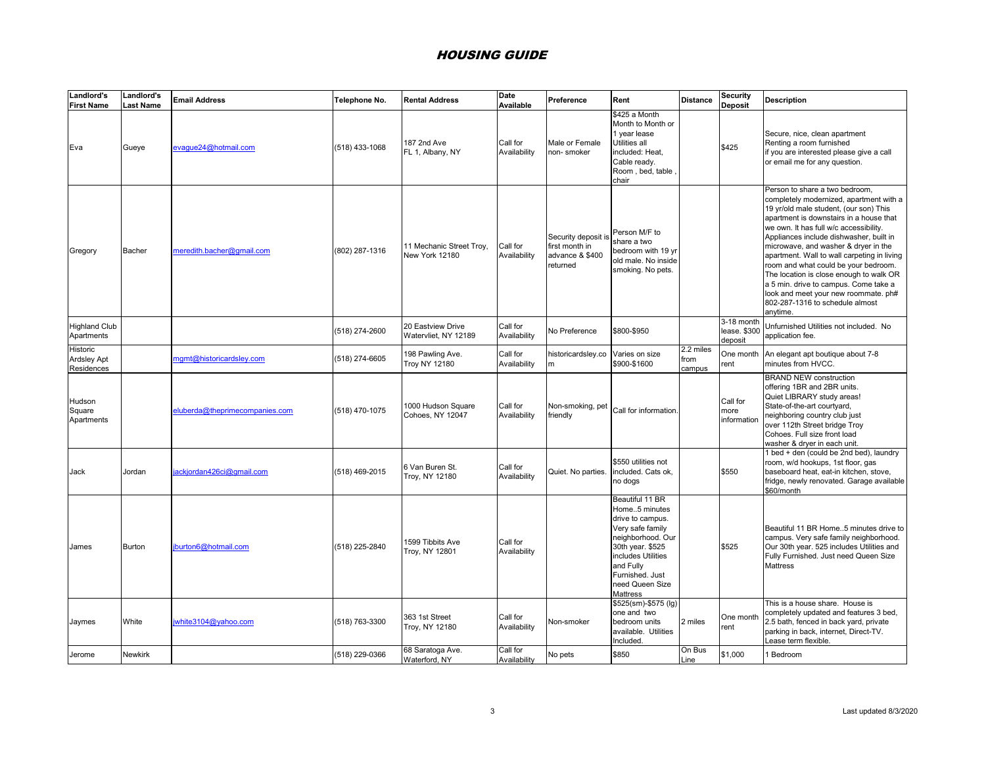| Landlord's<br><b>First Name</b>              | Landlord's<br><b>Last Name</b> | <b>Email Address</b>           | Telephone No.  | <b>Rental Address</b>                      | Date<br>Available        | Preference                                                           | Rent                                                                                                                                                                                                          | <b>Distance</b>             | <b>Security</b><br><b>Deposit</b>    | <b>Description</b>                                                                                                                                                                                                                                                                                                                                                                                                                                                                                                                                            |
|----------------------------------------------|--------------------------------|--------------------------------|----------------|--------------------------------------------|--------------------------|----------------------------------------------------------------------|---------------------------------------------------------------------------------------------------------------------------------------------------------------------------------------------------------------|-----------------------------|--------------------------------------|---------------------------------------------------------------------------------------------------------------------------------------------------------------------------------------------------------------------------------------------------------------------------------------------------------------------------------------------------------------------------------------------------------------------------------------------------------------------------------------------------------------------------------------------------------------|
| Eva                                          | Gueye                          | evague24@hotmail.com           | (518) 433-1068 | 187 2nd Ave<br>FL 1, Albany, NY            | Call for<br>Availability | Male or Female<br>non-smoker                                         | $$425$ a Month<br>Month to Month or<br>1 vear lease<br>Utilities all<br>included: Heat,<br>Cable ready.<br>Room, bed, table<br>chair                                                                          |                             | \$425                                | Secure, nice, clean apartment<br>Renting a room furnished<br>if you are interested please give a call<br>or email me for any question.                                                                                                                                                                                                                                                                                                                                                                                                                        |
| Gregory                                      | Bacher                         | meredith.bacher@gmail.com      | (802) 287-1316 | 11 Mechanic Street Troy,<br>New York 12180 | Call for<br>Availability | Security deposit is<br>first month in<br>advance & \$400<br>returned | Person M/F to<br>share a two<br>bedroom with 19 yr<br>old male. No inside<br>smoking. No pets.                                                                                                                |                             |                                      | Person to share a two bedroom.<br>completely modernized, apartment with a<br>19 yr/old male student, (our son) This<br>apartment is downstairs in a house that<br>we own. It has full w/c accessibility.<br>Appliances include dishwasher, built in<br>microwave, and washer & dryer in the<br>apartment. Wall to wall carpeting in living<br>room and what could be your bedroom.<br>The location is close enough to walk OR<br>a 5 min. drive to campus. Come take a<br>look and meet your new roommate. ph#<br>802-287-1316 to schedule almost<br>anytime. |
| <b>Highland Club</b><br>Apartments           |                                |                                | 518) 274-2600  | 20 Eastview Drive<br>Watervliet, NY 12189  | Call for<br>Availability | No Preference                                                        | \$800-\$950                                                                                                                                                                                                   |                             | 3-18 mont<br>lease. \$300<br>deposit | Unfurnished Utilities not included. No<br>application fee.                                                                                                                                                                                                                                                                                                                                                                                                                                                                                                    |
| Historic<br><b>Ardsley Apt</b><br>Residences |                                | mamt@historicardslev.com       | (518) 274-6605 | 198 Pawling Ave.<br><b>Troy NY 12180</b>   | Call for<br>Availability | historicardsley.co<br>m                                              | Varies on size<br>\$900-\$1600                                                                                                                                                                                | 2.2 miles<br>from<br>campus | One month<br>rent                    | An elegant apt boutique about 7-8<br>minutes from HVCC.                                                                                                                                                                                                                                                                                                                                                                                                                                                                                                       |
| Hudson<br>Square<br>Apartments               |                                | eluberda@theprimecompanies.com | (518) 470-1075 | 1000 Hudson Square<br>Cohoes, NY 12047     | Call for<br>Availability | Non-smoking, pet<br>friendly                                         | Call for information.                                                                                                                                                                                         |                             | Call for<br>more<br>information      | <b>BRAND NEW construction</b><br>offering 1BR and 2BR units.<br>Quiet LIBRARY study areas!<br>State-of-the-art courtyard,<br>neighboring country club just<br>over 112th Street bridge Troy<br>Cohoes. Full size front load<br>washer & dryer in each unit.                                                                                                                                                                                                                                                                                                   |
| Jack                                         | Jordan                         | ackiordan426ci@gmail.com       | (518) 469-2015 | 6 Van Buren St.<br>Troy, NY 12180          | Call for<br>Availability | Quiet. No parties.                                                   | \$550 utilities not<br>included. Cats ok,<br>no dogs                                                                                                                                                          |                             | \$550                                | 1 bed + den (could be 2nd bed), laundry<br>room, w/d hookups, 1st floor, gas<br>baseboard heat, eat-in kitchen, stove,<br>fridge, newly renovated. Garage available<br>\$60/month                                                                                                                                                                                                                                                                                                                                                                             |
| James                                        | <b>Burton</b>                  | jburton6@hotmail.com           | (518) 225-2840 | 1599 Tibbits Ave<br>Troy, NY 12801         | Call for<br>Availability |                                                                      | Beautiful 11 BR<br>Home5 minutes<br>drive to campus.<br>Very safe family<br>neighborhood. Our<br>30th year. \$525<br>includes Utilities<br>and Fully<br>Furnished, Just<br>need Queen Size<br><b>Mattress</b> |                             | \$525                                | Beautiful 11 BR Home5 minutes drive to<br>campus. Very safe family neighborhood.<br>Our 30th year. 525 includes Utilities and<br>Fully Furnished. Just need Queen Size<br>Mattress                                                                                                                                                                                                                                                                                                                                                                            |
| Jaymes                                       | White                          | white3104@yahoo.com            | (518) 763-3300 | 363 1st Street<br>Troy, NY 12180           | Call for<br>Availability | Non-smoker                                                           | \$525(sm)-\$575 (lg)<br>one and two<br>bedroom units<br>available. Utilities<br>Included.                                                                                                                     | 2 miles                     | One montl<br>rent                    | This is a house share. House is<br>completely updated and features 3 bed,<br>2.5 bath, fenced in back yard, private<br>parking in back, internet, Direct-TV.<br>Lease term flexible.                                                                                                                                                                                                                                                                                                                                                                          |
| Jerome                                       | <b>Newkirk</b>                 |                                | (518) 229-0366 | 68 Saratoga Ave.<br>Waterford, NY          | Call for<br>Availability | No pets                                                              | \$850                                                                                                                                                                                                         | On Bus<br>Line              | \$1,000                              | Bedroom                                                                                                                                                                                                                                                                                                                                                                                                                                                                                                                                                       |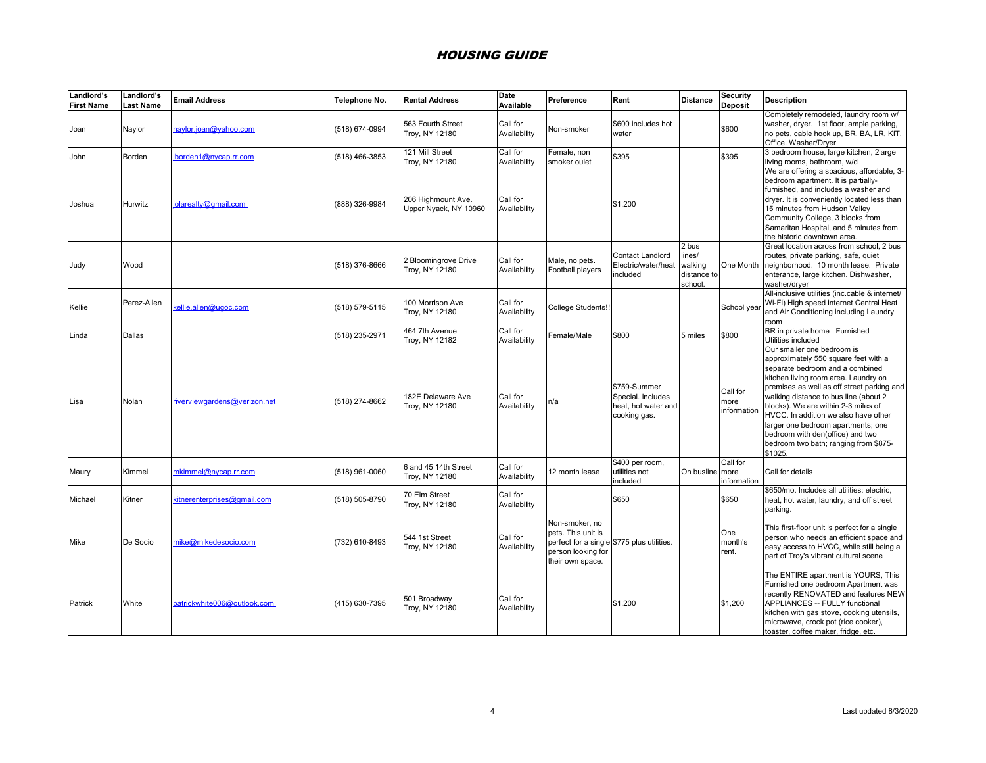| Landlord's<br><b>First Name</b> | Landlord's<br>Last Name | <b>Email Address</b>         | Telephone No.  | <b>Rental Address</b>                       | Date<br>Available        | Preference                                                                     | Rent                                                                     | <b>Distance</b>                                     | <b>Security</b><br><b>Deposit</b> | <b>Description</b>                                                                                                                                                                                                                                                                                                                                                                                                                                |
|---------------------------------|-------------------------|------------------------------|----------------|---------------------------------------------|--------------------------|--------------------------------------------------------------------------------|--------------------------------------------------------------------------|-----------------------------------------------------|-----------------------------------|---------------------------------------------------------------------------------------------------------------------------------------------------------------------------------------------------------------------------------------------------------------------------------------------------------------------------------------------------------------------------------------------------------------------------------------------------|
| Joan                            | Naylor                  | haylor.joan@yahoo.com        | 518) 674-0994  | 563 Fourth Street<br>Troy, NY 12180         | Call for<br>Availability | Non-smoker                                                                     | \$600 includes hot<br>water                                              |                                                     | \$600                             | Completely remodeled, laundry room w/<br>washer, dryer. 1st floor, ample parking,<br>no pets, cable hook up, BR, BA, LR, KIT,<br>Office. Washer/Dryer                                                                                                                                                                                                                                                                                             |
| John                            | Borden                  | borden1@nycap.rr.com         | (518) 466-3853 | 121 Mill Street<br>Troy, NY 12180           | Call for<br>Availability | Female, non<br>smoker ouiet                                                    | \$395                                                                    |                                                     | \$395                             | 3 bedroom house, large kitchen, 2large<br>living rooms, bathroom, w/d                                                                                                                                                                                                                                                                                                                                                                             |
| Joshua                          | Hurwitz                 | jolarealty@gmail.com         | 888) 326-9984  | 206 Highmount Ave.<br>Upper Nyack, NY 10960 | Call for<br>Availability |                                                                                | \$1,200                                                                  |                                                     |                                   | We are offering a spacious, affordable, 3-<br>bedroom apartment. It is partially-<br>furnished, and includes a washer and<br>dryer. It is conveniently located less than<br>15 minutes from Hudson Valley<br>Community College, 3 blocks from<br>Samaritan Hospital, and 5 minutes from<br>the historic downtown area.                                                                                                                            |
| Judy                            | Wood                    |                              | 518) 376-8666  | 2 Bloomingrove Drive<br>Troy, NY 12180      | Call for<br>Availability | Male, no pets.<br>Football players                                             | Contact Landlord<br>Electric/water/heat<br>included                      | 2 bus<br>ines/<br>walking<br>distance to<br>school. | One Month                         | Great location across from school, 2 bus<br>routes, private parking, safe, quiet<br>neighborhood. 10 month lease. Private<br>enterance, large kitchen. Dishwasher,<br>washer/dryer                                                                                                                                                                                                                                                                |
| Kellie                          | Perez-Allen             | cellie.allen@ugoc.com        | 518) 579-5115  | 100 Morrison Ave<br>Troy, NY 12180          | Call for<br>Availability | College Students!                                                              |                                                                          |                                                     | School year                       | All-inclusive utilities (inc.cable & internet/<br>Wi-Fi) High speed internet Central Heat<br>and Air Conditioning including Laundry<br>room                                                                                                                                                                                                                                                                                                       |
| Linda                           | Dallas                  |                              | (518) 235-2971 | 464 7th Avenue<br>Troy, NY 12182            | Call for<br>Availability | Female/Male                                                                    | \$800                                                                    | 5 miles                                             | \$800                             | BR in private home Furnished<br>Utilities included                                                                                                                                                                                                                                                                                                                                                                                                |
| Lisa                            | Nolan                   | riverviewgardens@verizon.net | (518) 274-8662 | 182E Delaware Ave<br>Troy, NY 12180         | Call for<br>Availability | n/a                                                                            | \$759-Summer<br>Special, Includes<br>heat, hot water and<br>cooking gas. |                                                     | Call for<br>more<br>information   | Our smaller one bedroom is<br>approximately 550 square feet with a<br>separate bedroom and a combined<br>kitchen living room area. Laundry on<br>premises as well as off street parking and<br>walking distance to bus line (about 2<br>blocks). We are within 2-3 miles of<br>HVCC. In addition we also have other<br>larger one bedroom apartments; one<br>bedroom with den(office) and two<br>bedroom two bath; ranging from \$875-<br>\$1025. |
| Maury                           | Kimmel                  | nkimmel@nycap.rr.com         | (518) 961-0060 | 6 and 45 14th Street<br>Troy, NY 12180      | Call for<br>Availability | 12 month lease                                                                 | \$400 per room,<br>utilities not<br>ncluded                              | On busline                                          | Call for<br>more<br>nformation    | Call for details                                                                                                                                                                                                                                                                                                                                                                                                                                  |
| Michael                         | Kitner                  | sitnerenterprises@gmail.com  | 518) 505-8790  | 70 Elm Street<br>Troy, NY 12180             | Call for<br>Availability |                                                                                | \$650                                                                    |                                                     | \$650                             | \$650/mo. Includes all utilities: electric,<br>heat, hot water, laundry, and off street<br>parking.                                                                                                                                                                                                                                                                                                                                               |
| Mike                            | De Socio                | nike@mikedesocio.com         | 732) 610-8493  | 544 1st Street<br>Troy, NY 12180            | Call for<br>Availability | Non-smoker, no<br>pets. This unit is<br>person looking for<br>their own space. | perfect for a single \$775 plus utilities.                               |                                                     | One<br>month's<br>rent.           | This first-floor unit is perfect for a single<br>person who needs an efficient space and<br>easy access to HVCC, while still being a<br>part of Troy's vibrant cultural scene                                                                                                                                                                                                                                                                     |
| Patrick                         | White                   | patrickwhite006@outlook.com  | (415) 630-7395 | 501 Broadway<br>Troy, NY 12180              | Call for<br>Availability |                                                                                | \$1,200                                                                  |                                                     | \$1,200                           | The ENTIRE apartment is YOURS, This<br>Furnished one bedroom Apartment was<br>recently RENOVATED and features NEW<br>APPLIANCES -- FULLY functional<br>kitchen with gas stove, cooking utensils,<br>microwave, crock pot (rice cooker),<br>toaster, coffee maker, fridge, etc.                                                                                                                                                                    |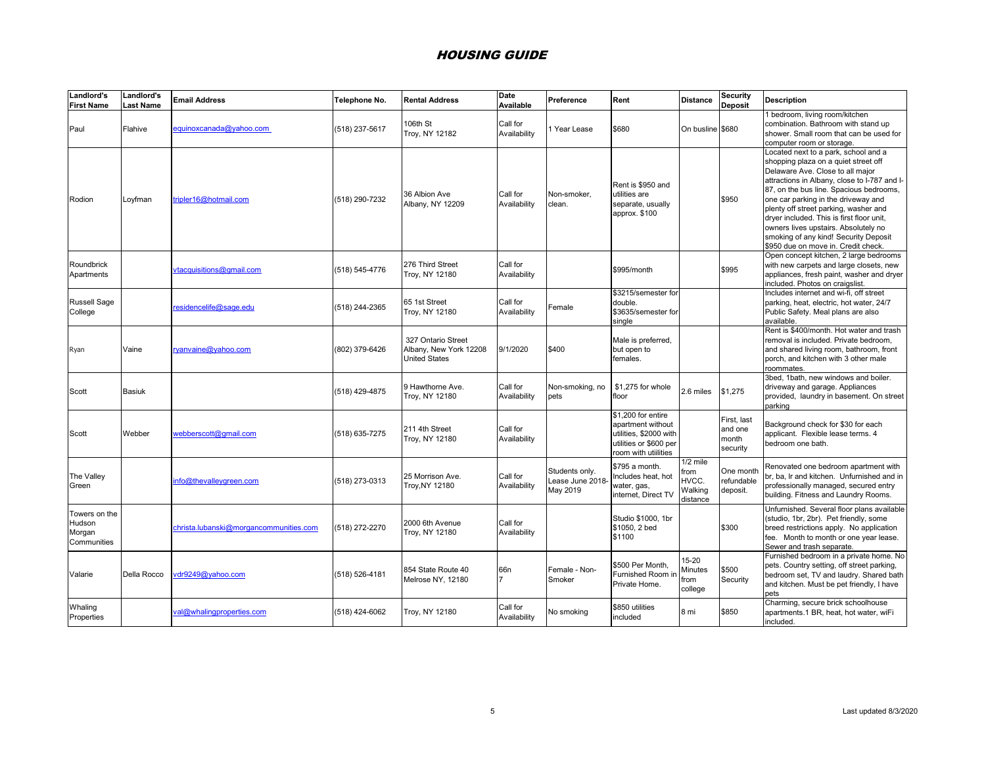| Landlord's<br><b>First Name</b>                  | Landlord's<br><b>Last Name</b> | <b>Email Address</b>                   | Telephone No.  | <b>Rental Address</b>                                                | <b>Date</b><br>Available | Preference                                    | Rent                                                                                                                | <b>Distance</b>                                    | <b>Security</b><br><b>Deposit</b>           | <b>Description</b>                                                                                                                                                                                                                                                                                                                                                                                                                                               |
|--------------------------------------------------|--------------------------------|----------------------------------------|----------------|----------------------------------------------------------------------|--------------------------|-----------------------------------------------|---------------------------------------------------------------------------------------------------------------------|----------------------------------------------------|---------------------------------------------|------------------------------------------------------------------------------------------------------------------------------------------------------------------------------------------------------------------------------------------------------------------------------------------------------------------------------------------------------------------------------------------------------------------------------------------------------------------|
| Paul                                             | Flahive                        | equinoxcanada@yahoo.com                | (518) 237-5617 | 106th St<br>Troy, NY 12182                                           | Call for<br>Availability | Year Lease                                    | \$680                                                                                                               | On busline \$680                                   |                                             | 1 bedroom, living room/kitchen<br>combination. Bathroom with stand up<br>shower. Small room that can be used for<br>computer room or storage.                                                                                                                                                                                                                                                                                                                    |
| Rodion                                           | Loyfman                        | tripler16@hotmail.com                  | (518) 290-7232 | 36 Albion Ave<br>Albany, NY 12209                                    | Call for<br>Availability | Non-smoker.<br>clean.                         | Rent is \$950 and<br>utilities are<br>separate, usually<br>approx. \$100                                            |                                                    | \$950                                       | Located next to a park, school and a<br>shopping plaza on a quiet street off<br>Delaware Ave. Close to all major<br>attractions in Albany, close to I-787 and I-<br>87, on the bus line. Spacious bedrooms,<br>one car parking in the driveway and<br>plenty off street parking, washer and<br>dryer included. This is first floor unit,<br>owners lives upstairs. Absolutely no<br>smoking of any kind! Security Deposit<br>\$950 due on move in. Credit check. |
| Roundbrick<br>Apartments                         |                                | tacquisitions@gmail.com                | (518) 545-4776 | 276 Third Street<br>Troy, NY 12180                                   | Call for<br>Availability |                                               | \$995/month                                                                                                         |                                                    | \$995                                       | Open concept kitchen, 2 large bedrooms<br>with new carpets and large closets, new<br>appliances, fresh paint, washer and dryer<br>included. Photos on craigslist.                                                                                                                                                                                                                                                                                                |
| <b>Russell Sage</b><br>College                   |                                | esidencelife@sage.edu                  | (518) 244-2365 | 65 1st Street<br>Troy, NY 12180                                      | Call for<br>Availability | Female                                        | \$3215/semester for<br>double.<br>\$3635/semester for<br>single                                                     |                                                    |                                             | Includes internet and wi-fi, off street<br>parking, heat, electric, hot water, 24/7<br>Public Safety. Meal plans are also<br>available.                                                                                                                                                                                                                                                                                                                          |
| Ryan                                             | Vaine                          | yanvaine@yahoo.com                     | (802) 379-6426 | 327 Ontario Street<br>Albany, New York 12208<br><b>United States</b> | 9/1/2020                 | \$400                                         | Male is preferred,<br>but open to<br>females.                                                                       |                                                    |                                             | Rent is \$400/month. Hot water and trash<br>removal is included. Private bedroom,<br>and shared living room, bathroom, front<br>porch, and kitchen with 3 other male<br>roommates.                                                                                                                                                                                                                                                                               |
| Scott                                            | <b>Basiuk</b>                  |                                        | (518) 429-4875 | 9 Hawthorne Ave.<br>Troy, NY 12180                                   | Call for<br>Availability | Non-smoking, no<br>pets                       | \$1,275 for whole<br>floor                                                                                          | 2.6 miles                                          | \$1,275                                     | 3bed, 1bath, new windows and boiler.<br>driveway and garage. Appliances<br>provided, laundry in basement. On street<br>parking                                                                                                                                                                                                                                                                                                                                   |
| Scott                                            | Webber                         | webberscott@gmail.com                  | (518) 635-7275 | 211 4th Street<br>Troy, NY 12180                                     | Call for<br>Availability |                                               | \$1,200 for entire<br>apartment without<br>utilities, \$2000 with<br>utilities or \$600 per<br>room with utiilities |                                                    | First, last<br>and one<br>month<br>security | Background check for \$30 for each<br>applicant. Flexible lease terms. 4<br>bedroom one bath.                                                                                                                                                                                                                                                                                                                                                                    |
| The Valley<br>Green                              |                                | nfo@thevalleygreen.com                 | (518) 273-0313 | 25 Morrison Ave.<br>Troy, NY 12180                                   | Call for<br>Availability | Students only.<br>Lease June 2018<br>May 2019 | \$795 a month.<br>Includes heat, hot<br>water, gas,<br>internet, Direct TV                                          | $1/2$ mile<br>from<br>HVCC.<br>Walking<br>distance | One montl<br>refundable<br>deposit.         | Renovated one bedroom apartment with<br>br, ba, Ir and kitchen. Unfurnished and in<br>professionally managed, secured entry<br>building. Fitness and Laundry Rooms.                                                                                                                                                                                                                                                                                              |
| Towers on the<br>Hudson<br>Morgan<br>Communities |                                | christa.lubanski@morgancommunities.com | (518) 272-2270 | 2000 6th Avenue<br>Troy, NY 12180                                    | Call for<br>Availability |                                               | Studio \$1000, 1br<br>\$1050, 2 bed<br>\$1100                                                                       |                                                    | \$300                                       | Unfurnished. Several floor plans available<br>(studio, 1br, 2br). Pet friendly, some<br>breed restrictions apply. No application<br>fee. Month to month or one year lease.<br>Sewer and trash separate.                                                                                                                                                                                                                                                          |
| Valarie                                          | Della Rocco                    | dr9249@yahoo.com                       | (518) 526-4181 | 854 State Route 40<br>Melrose NY, 12180                              | 66 <sub>n</sub>          | Female - Non-<br>Smoker                       | \$500 Per Month.<br>Furnished Room in<br>Private Home.                                                              | 15-20<br>Minutes<br>rom<br>college                 | \$500<br>Security                           | Furnished bedroom in a private home. No<br>pets. Country setting, off street parking,<br>bedroom set, TV and laudry. Shared bath<br>and kitchen. Must be pet friendly, I have<br>pets                                                                                                                                                                                                                                                                            |
| Whaling<br>Properties                            |                                | al@whalingproperties.com               | (518) 424-6062 | Troy, NY 12180                                                       | Call for<br>Availability | No smoking                                    | \$850 utilities<br>included                                                                                         | 8 mi                                               | \$850                                       | Charming, secure brick schoolhouse<br>apartments.1 BR, heat, hot water, wiFi<br>included.                                                                                                                                                                                                                                                                                                                                                                        |